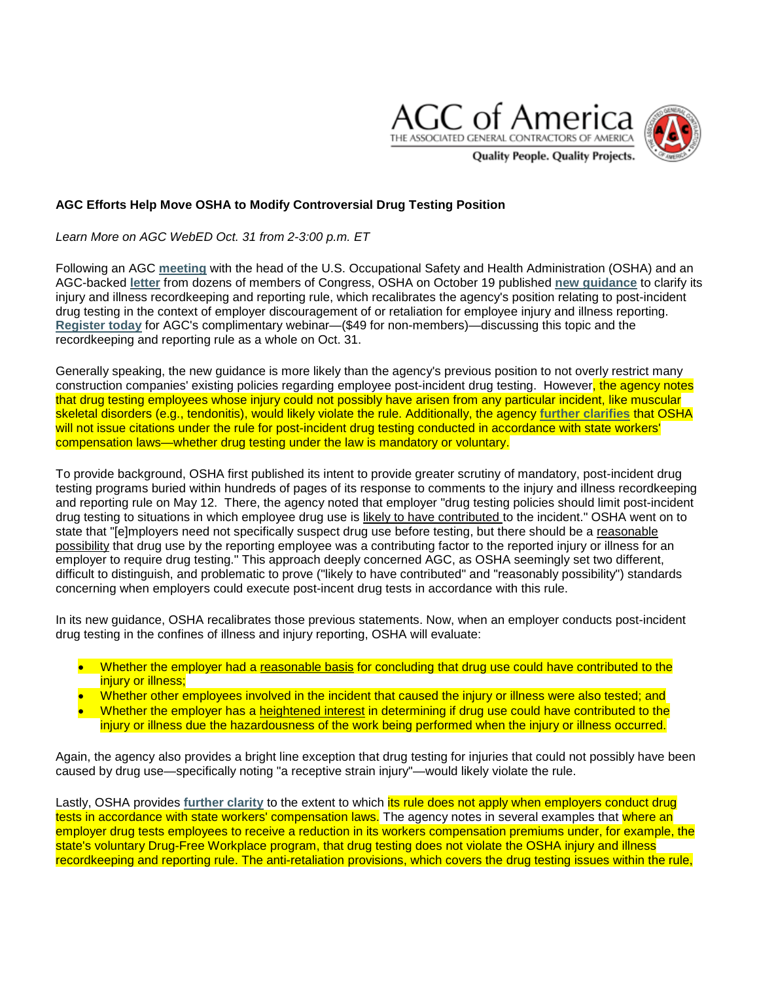



*Learn More on AGC WebED Oct. 31 from 2-3:00 p.m. ET*

Following an AGC **[meeting](http://www.mmsend50.com/link.cfm?r=ztYl6K9DAPOjvgAaSZn3cg%7E%7E&pe=3QgS8cSsy29HZFjYTqPFFnie3b46roQPfqr7M2Do0RpDSZZPNnKhbCIvz4ktIflEKaXkX-ZW7TcVJF5ju83Wig%7E%7E)** with the head of the U.S. Occupational Safety and Health Administration (OSHA) and an AGC-backed **[letter](http://www.mmsend50.com/link.cfm?r=ztYl6K9DAPOjvgAaSZn3cg%7E%7E&pe=cjQ58UhX4212n2toiTMpEXSmCoHpHAlmXisTy3ZYaBV2E-tl0rYos7eP-oPwUspDQr9If5O7BAg25HYsgH02SQ%7E%7E)** from dozens of members of Congress, OSHA on October 19 published **[new guidance](http://www.mmsend50.com/link.cfm?r=ztYl6K9DAPOjvgAaSZn3cg%7E%7E&pe=rwVdQyuNAdGtquypm5PlMkXvQjXBcfqHE51EFs1hCiTvsS2hBiG-qdd-UDXIlQTufa0WZJQ3WVcHS8nPc_mqbA%7E%7E)** to clarify its injury and illness recordkeeping and reporting rule, which recalibrates the agency's position relating to post-incident drug testing in the context of employer discouragement of or retaliation for employee injury and illness reporting. **[Register today](http://www.mmsend50.com/link.cfm?r=ztYl6K9DAPOjvgAaSZn3cg%7E%7E&pe=5oxBDkVkF95b7VclK-Mlm8nqgAebJE-00xVbkdkI0zH-lQkxcj6ieI8BLYW860qvksIBJSZb_ji_7bH37Pwalw%7E%7E)** for AGC's complimentary webinar—(\$49 for non-members)—discussing this topic and the recordkeeping and reporting rule as a whole on Oct. 31.

Generally speaking, the new guidance is more likely than the agency's previous position to not overly restrict many construction companies' existing policies regarding employee post-incident drug testing. However, the agency notes that drug testing employees whose injury could not possibly have arisen from any particular incident, like muscular skeletal disorders (e.g., tendonitis), would likely violate the rule. Additionally, the agency **[further clarifies](http://www.mmsend50.com/link.cfm?r=ztYl6K9DAPOjvgAaSZn3cg%7E%7E&pe=gS4IAHDbxdnQ78fcI7s11oY4ucHKjIWhlq8d52hocugPlR4yNtVOhdWBu7S9J6NBBkE1kD0RooB7ovt1an8ZxQ%7E%7E)** that OSHA will not issue citations under the rule for post-incident drug testing conducted in accordance with state workers' compensation laws—whether drug testing under the law is mandatory or voluntary.

To provide background, OSHA first published its intent to provide greater scrutiny of mandatory, post-incident drug testing programs buried within hundreds of pages of its response to comments to the injury and illness recordkeeping and reporting rule on May 12. There, the agency noted that employer "drug testing policies should limit post-incident drug testing to situations in which employee drug use is likely to have contributed to the incident." OSHA went on to state that "[e]mployers need not specifically suspect drug use before testing, but there should be a reasonable possibility that drug use by the reporting employee was a contributing factor to the reported injury or illness for an employer to require drug testing." This approach deeply concerned AGC, as OSHA seemingly set two different, difficult to distinguish, and problematic to prove ("likely to have contributed" and "reasonably possibility") standards concerning when employers could execute post-incent drug tests in accordance with this rule.

In its new guidance, OSHA recalibrates those previous statements. Now, when an employer conducts post-incident drug testing in the confines of illness and injury reporting, OSHA will evaluate:

- Whether the employer had a reasonable basis for concluding that drug use could have contributed to the injury or illness;
- Whether other employees involved in the incident that caused the injury or illness were also tested; and
- Whether the employer has a heightened interest in determining if drug use could have contributed to the injury or illness due the hazardousness of the work being performed when the injury or illness occurred.

Again, the agency also provides a bright line exception that drug testing for injuries that could not possibly have been caused by drug use—specifically noting "a receptive strain injury"—would likely violate the rule.

Lastly, OSHA provides **[further clarity](http://www.mmsend50.com/link.cfm?r=ztYl6K9DAPOjvgAaSZn3cg%7E%7E&pe=evTPqkDHFRI1Q75A0JxK9O5eNjeDZ3cLWS6WinYpGWZYINCsYccdWSAwGstVFqQq3roNmA14Sfz5jV_4mENX9Q%7E%7E)** to the extent to which its rule does not apply when employers conduct drug tests in accordance with state workers' compensation laws. The agency notes in several examples that where an employer drug tests employees to receive a reduction in its workers compensation premiums under, for example, the state's voluntary Drug-Free Workplace program, that drug testing does not violate the OSHA injury and illness recordkeeping and reporting rule. The anti-retaliation provisions, which covers the drug testing issues within the rule,